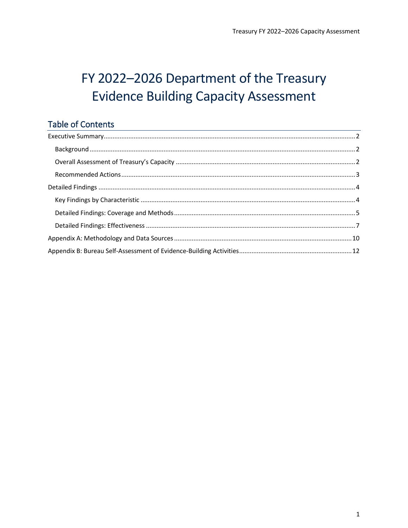# FY 2022-2026 Department of the Treasury **Evidence Building Capacity Assessment**

### **Table of Contents**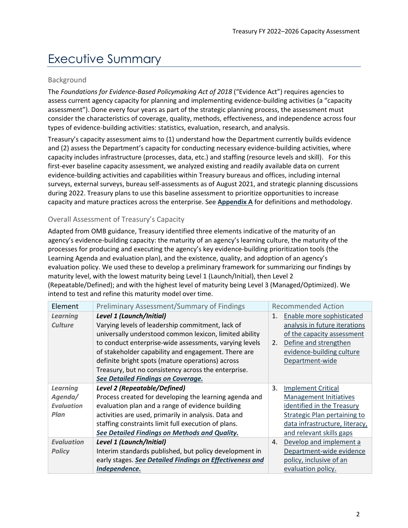## <span id="page-1-0"></span>Executive Summary

#### <span id="page-1-1"></span>Background

The *Foundations for Evidence-Based Policymaking Act of 2018* ("Evidence Act") requires agencies to assess current agency capacity for planning and implementing evidence-building activities (a "capacity assessment"). Done every four years as part of the strategic planning process, the assessment must consider the characteristics of coverage, quality, methods, effectiveness, and independence across four types of evidence-building activities: statistics, evaluation, research, and analysis.

Treasury's capacity assessment aims to (1) understand how the Department currently builds evidence and (2) assess the Department's capacity for conducting necessary evidence-building activities, where capacity includes infrastructure (processes, data, etc.) and staffing (resource levels and skill). For this first-ever baseline capacity assessment, we analyzed existing and readily available data on current evidence-building activities and capabilities within Treasury bureaus and offices, including internal surveys, external surveys, bureau self-assessments as of August 2021, and strategic planning discussions during 2022. Treasury plans to use this baseline assessment to prioritize opportunities to increase capacity and mature practices across the enterprise. See **[Appendix A](#page-9-0)** for definitions and methodology.

#### <span id="page-1-2"></span>Overall Assessment of Treasury's Capacity

Adapted from OMB guidance, Treasury identified three elements indicative of the maturity of an agency's evidence-building capacity: the maturity of an agency's learning culture, the maturity of the processes for producing and executing the agency's key evidence-building prioritization tools (the Learning Agenda and evaluation plan), and the existence, quality, and adoption of an agency's evaluation policy. We used these to develop a preliminary framework for summarizing our findings by maturity level, with the lowest maturity being Level 1 (Launch/Initial), then Level 2 (Repeatable/Defined); and with the highest level of maturity being Level 3 (Managed/Optimized). We intend to test and refine this maturity model over time.

| Element           | <b>Preliminary Assessment/Summary of Findings</b>        |    | <b>Recommended Action</b>           |
|-------------------|----------------------------------------------------------|----|-------------------------------------|
| <b>Learning</b>   | Level 1 (Launch/Initial)                                 | 1. | Enable more sophisticated           |
| <b>Culture</b>    | Varying levels of leadership commitment, lack of         |    | analysis in future iterations       |
|                   | universally understood common lexicon, limited ability   |    | of the capacity assessment          |
|                   | to conduct enterprise-wide assessments, varying levels   | 2. | Define and strengthen               |
|                   | of stakeholder capability and engagement. There are      |    | evidence-building culture           |
|                   | definite bright spots (mature operations) across         |    | Department-wide                     |
|                   | Treasury, but no consistency across the enterprise.      |    |                                     |
|                   | See Detailed Findings on Coverage.                       |    |                                     |
| <b>Learning</b>   | <b>Level 2 (Repeatable/Defined)</b>                      | 3. | <b>Implement Critical</b>           |
| Agenda/           | Process created for developing the learning agenda and   |    | <b>Management Initiatives</b>       |
| <b>Evaluation</b> | evaluation plan and a range of evidence building         |    | identified in the Treasury          |
| Plan              | activities are used, primarily in analysis. Data and     |    | <b>Strategic Plan pertaining to</b> |
|                   | staffing constraints limit full execution of plans.      |    | data infrastructure, literacy,      |
|                   | See Detailed Findings on Methods and Quality.            |    | and relevant skills gaps            |
| <b>Evaluation</b> | Level 1 (Launch/Initial)                                 | 4. | Develop and implement a             |
| <b>Policy</b>     | Interim standards published, but policy development in   |    | Department-wide evidence            |
|                   | early stages. See Detailed Findings on Effectiveness and |    | policy, inclusive of an             |
|                   | Independence.                                            |    | evaluation policy.                  |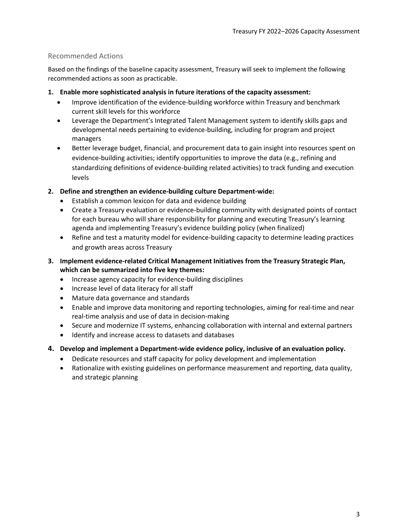#### <span id="page-2-0"></span>Recommended Actions

Based on the findings of the baseline capacity assessment, Treasury will seek to implement the following recommended actions as soon as practicable.

- <span id="page-2-1"></span>**1. Enable more sophisticated analysis in future iterations of the capacity assessment:** 
	- Improve identification of the evidence-building workforce within Treasury and benchmark current skill levels for this workforce
	- Leverage the Department's Integrated Talent Management system to identify skills gaps and developmental needs pertaining to evidence-building, including for program and project managers
	- Better leverage budget, financial, and procurement data to gain insight into resources spent on evidence-building activities; identify opportunities to improve the data (e.g., refining and standardizing definitions of evidence-building related activities) to track funding and execution levels
- <span id="page-2-2"></span>**2. Define and strengthen an evidence-building culture Department-wide:** 
	- Establish a common lexicon for data and evidence building
	- Create a Treasury evaluation or evidence-building community with designated points of contact for each bureau who will share responsibility for planning and executing Treasury's learning agenda and implementing Treasury's evidence building policy (when finalized)
	- Refine and test a maturity model for evidence-building capacity to determine leading practices and growth areas across Treasury
- <span id="page-2-3"></span>**3. Implement evidence-related Critical Management Initiatives from the Treasury Strategic Plan, which can be summarized into five key themes:** 
	- Increase agency capacity for evidence-building disciplines
	- Increase level of data literacy for all staff
	- Mature data governance and standards
	- Enable and improve data monitoring and reporting technologies, aiming for real-time and near real-time analysis and use of data in decision-making
	- Secure and modernize IT systems, enhancing collaboration with internal and external partners
	- Identify and increase access to datasets and databases
- <span id="page-2-4"></span>**4. Develop and implement a Department-wide evidence policy, inclusive of an evaluation policy.**
	- Dedicate resources and staff capacity for policy development and implementation
	- Rationalize with existing guidelines on performance measurement and reporting, data quality, and strategic planning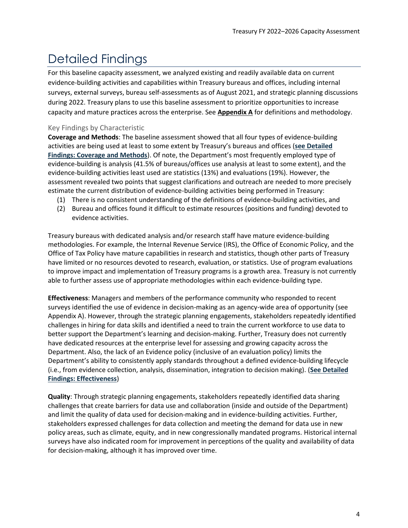## <span id="page-3-0"></span>Detailed Findings

<span id="page-3-1"></span>For this baseline capacity assessment, we analyzed existing and readily available data on current evidence-building activities and capabilities within Treasury bureaus and offices, including internal surveys, external surveys, bureau self-assessments as of August 2021, and strategic planning discussions during 2022. Treasury plans to use this baseline assessment to prioritize opportunities to increase capacity and mature practices across the enterprise. See **[Appendix A](#page-9-0)** for definitions and methodology.

#### Key Findings by Characteristic

**Coverage and Methods**: The baseline assessment showed that all four types of evidence-building activities are being used at least to some extent by Treasury's bureaus and offices (**[see Detailed](#page-4-0)  [Findings: Coverage and Methods](#page-4-0)**). Of note, the Department's most frequently employed type of evidence-building is analysis (41.5% of bureaus/offices use analysis at least to some extent), and the evidence-building activities least used are statistics (13%) and evaluations (19%). However, the assessment revealed two points that suggest clarifications and outreach are needed to more precisely estimate the current distribution of evidence-building activities being performed in Treasury:

- (1) There is no consistent understanding of the definitions of evidence-building activities, and
- (2) Bureau and offices found it difficult to estimate resources (positions and funding) devoted to evidence activities.

Treasury bureaus with dedicated analysis and/or research staff have mature evidence-building methodologies. For example, the Internal Revenue Service (IRS), the Office of Economic Policy, and the Office of Tax Policy have mature capabilities in research and statistics, though other parts of Treasury have limited or no resources devoted to research, evaluation, or statistics. Use of program evaluations to improve impact and implementation of Treasury programs is a growth area. Treasury is not currently able to further assess use of appropriate methodologies within each evidence-building type.

**Effectiveness**: Managers and members of the performance community who responded to recent surveys identified the use of evidence in decision-making as an agency-wide area of opportunity (see Appendix A). However, through the strategic planning engagements, stakeholders repeatedly identified challenges in hiring for data skills and identified a need to train the current workforce to use data to better support the Department's learning and decision-making. Further, Treasury does not currently have dedicated resources at the enterprise level for assessing and growing capacity across the Department. Also, the lack of an Evidence policy (inclusive of an evaluation policy) limits the Department's ability to consistently apply standards throughout a defined evidence-building lifecycle (i.e., from evidence collection, analysis, dissemination, integration to decision making). (**[See Detailed](#page-6-0)  [Findings: Effectiveness](#page-6-0)**)

**Quality**: Through strategic planning engagements, stakeholders repeatedly identified data sharing challenges that create barriers for data use and collaboration (inside and outside of the Department) and limit the quality of data used for decision-making and in evidence-building activities. Further, stakeholders expressed challenges for data collection and meeting the demand for data use in new policy areas, such as climate, equity, and in new congressionally mandated programs. Historical internal surveys have also indicated room for improvement in perceptions of the quality and availability of data for decision-making, although it has improved over time.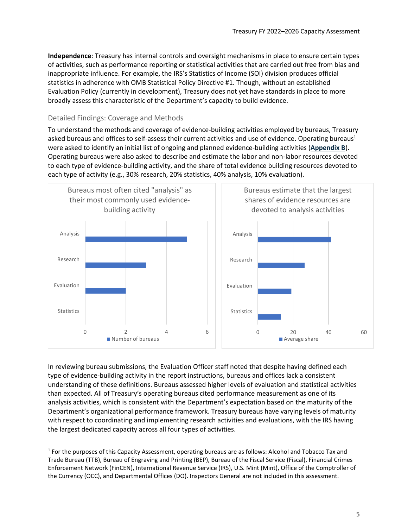**Independence**: Treasury has internal controls and oversight mechanisms in place to ensure certain types of activities, such as performance reporting or statistical activities that are carried out free from bias and inappropriate influence. For example, the IRS's Statistics of Income (SOI) division produces official statistics in adherence with OMB Statistical Policy Directive #1. Though, without an established Evaluation Policy (currently in development), Treasury does not yet have standards in place to more broadly assess this characteristic of the Department's capacity to build evidence.

#### <span id="page-4-0"></span>Detailed Findings: Coverage and Methods

To understand the methods and coverage of evidence-building activities employed by bureaus, Treasury asked bureaus and offices to self-assess their current activities and use of evidence. Operating bureaus<sup>1</sup> were asked to identify an initial list of ongoing and planned evidence-building activities (**[Appendix B](#page-11-0)**). Operating bureaus were also asked to describe and estimate the labor and non-labor resources devoted to each type of evidence-building activity, and the share of total evidence building resources devoted to each type of activity (e.g., 30% research, 20% statistics, 40% analysis, 10% evaluation).



In reviewing bureau submissions, the Evaluation Officer staff noted that despite having defined each type of evidence-building activity in the report instructions, bureaus and offices lack a consistent understanding of these definitions. Bureaus assessed higher levels of evaluation and statistical activities than expected. All of Treasury's operating bureaus cited performance measurement as one of its analysis activities, which is consistent with the Department's expectation based on the maturity of the Department's organizational performance framework. Treasury bureaus have varying levels of maturity with respect to coordinating and implementing research activities and evaluations, with the IRS having the largest dedicated capacity across all four types of activities.

<sup>&</sup>lt;sup>1</sup> For the purposes of this Capacity Assessment, operating bureaus are as follows: Alcohol and Tobacco Tax and Trade Bureau (TTB), Bureau of Engraving and Printing (BEP), Bureau of the Fiscal Service (Fiscal), Financial Crimes Enforcement Network (FinCEN), International Revenue Service (IRS), U.S. Mint (Mint), Office of the Comptroller of the Currency (OCC), and Departmental Offices (DO). Inspectors General are not included in this assessment.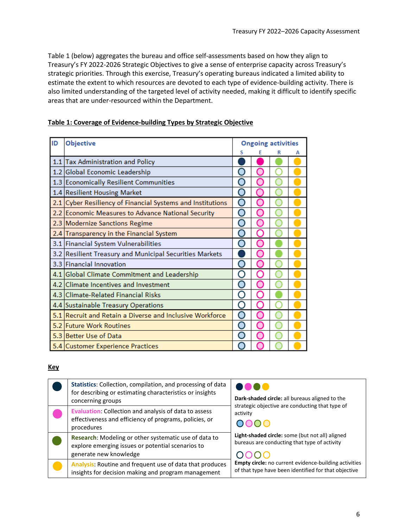Table 1 (below) aggregates the bureau and office self-assessments based on how they align to Treasury's FY 2022-2026 Strategic Objectives to give a sense of enterprise capacity across Treasury's strategic priorities. Through this exercise, Treasury's operating bureaus indicated a limited ability to estimate the extent to which resources are devoted to each type of evidence-building activity. There is also limited understanding of the targeted level of activity needed, making it difficult to identify specific areas that are under-resourced within the Department.

| ID | Objective                                                  | <b>Ongoing activities</b> |  |  |   |
|----|------------------------------------------------------------|---------------------------|--|--|---|
|    |                                                            | s                         |  |  | А |
|    | 1.1 Tax Administration and Policy                          |                           |  |  |   |
|    | 1.2 Global Economic Leadership                             |                           |  |  |   |
|    | 1.3 Economically Resilient Communities                     |                           |  |  |   |
|    | 1.4 Resilient Housing Market                               |                           |  |  |   |
|    | 2.1 Cyber Resiliency of Financial Systems and Institutions |                           |  |  |   |
|    | 2.2 Economic Measures to Advance National Security         |                           |  |  |   |
|    | 2.3 Modernize Sanctions Regime                             |                           |  |  |   |
|    | 2.4 Transparency in the Financial System                   |                           |  |  |   |
|    | 3.1 Financial System Vulnerabilities                       |                           |  |  |   |
|    | 3.2 Resilient Treasury and Municipal Securities Markets    |                           |  |  |   |
|    | 3.3 Financial Innovation                                   |                           |  |  |   |
|    | 4.1 Global Climate Commitment and Leadership               |                           |  |  |   |
|    | 4.2 Climate Incentives and Investment                      |                           |  |  |   |
|    | 4.3 Climate-Related Financial Risks                        |                           |  |  |   |
|    | 4.4 Sustainable Treasury Operations                        |                           |  |  |   |
|    | 5.1 Recruit and Retain a Diverse and Inclusive Workforce   |                           |  |  |   |
|    | 5.2 Future Work Routines                                   |                           |  |  |   |
|    | 5.3 Better Use of Data                                     |                           |  |  |   |
|    | 5.4 Customer Experience Practices                          |                           |  |  |   |

#### **Table 1: Coverage of Evidence-building Types by Strategic Objective**

#### **Key**

| Statistics: Collection, compilation, and processing of data<br>for describing or estimating characteristics or insights<br>concerning groups | Dark-shaded circle: all bureaus aligned to the                                                                       |
|----------------------------------------------------------------------------------------------------------------------------------------------|----------------------------------------------------------------------------------------------------------------------|
| Evaluation: Collection and analysis of data to assess<br>effectiveness and efficiency of programs, policies, or<br>procedures                | strategic objective are conducting that type of<br>activity<br>DOOO                                                  |
| Research: Modeling or other systematic use of data to<br>explore emerging issues or potential scenarios to<br>generate new knowledge         | Light-shaded circle: some (but not all) aligned<br>bureaus are conducting that type of activity                      |
| Analysis: Routine and frequent use of data that produces<br>insights for decision making and program management                              | <b>Empty circle:</b> no current evidence-building activities<br>of that type have been identified for that objective |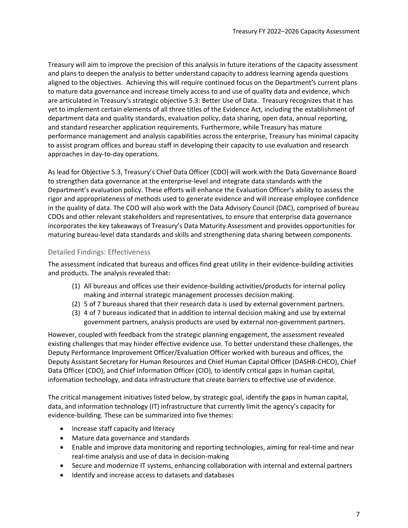Treasury will aim to improve the precision of this analysis in future iterations of the capacity assessment and plans to deepen the analysis to better understand capacity to address learning agenda questions aligned to the objectives. Achieving this will require continued focus on the Department's current plans to mature data governance and increase timely access to and use of quality data and evidence, which are articulated in Treasury's strategic objective 5.3: Better Use of Data. Treasury recognizes that it has yet to implement certain elements of all three titles of the Evidence Act, including the establishment of department data and quality standards, evaluation policy, data sharing, open data, annual reporting, and standard researcher application requirements. Furthermore, while Treasury has mature performance management and analysis capabilities across the enterprise, Treasury has minimal capacity to assist program offices and bureau staff in developing their capacity to use evaluation and research approaches in day-to-day operations.

As lead for Objective 5.3, Treasury's Chief Data Officer (CDO) will work with the Data Governance Board to strengthen data governance at the enterprise-level and integrate data standards with the Department's evaluation policy. These efforts will enhance the Evaluation Officer's ability to assess the rigor and appropriateness of methods used to generate evidence and will increase employee confidence in the quality of data. The CDO will also work with the Data Advisory Council (DAC), comprised of bureau CDOs and other relevant stakeholders and representatives, to ensure that enterprise data governance incorporates the key takeaways of Treasury's Data Maturity Assessment and provides opportunities for maturing bureau-level data standards and skills and strengthening data sharing between components.

#### <span id="page-6-0"></span>Detailed Findings: Effectiveness

The assessment indicated that bureaus and offices find great utility in their evidence-building activities and products. The analysis revealed that:

- (1) All bureaus and offices use their evidence-building activities/products for internal policy making and internal strategic management processes decision making.
- (2) 5 of 7 bureaus shared that their research data is used by external government partners.
- (3) 4 of 7 bureaus indicated that in addition to internal decision making and use by external government partners, analysis products are used by external non-government partners.

However, coupled with feedback from the strategic planning engagement, the assessment revealed existing challenges that may hinder effective evidence use. To better understand these challenges, the Deputy Performance Improvement Officer/Evaluation Officer worked with bureaus and offices, the Deputy Assistant Secretary for Human Resources and Chief Human Capital Officer (DASHR-CHCO), Chief Data Officer (CDO), and Chief Information Officer (CIO), to identify critical gaps in human capital, information technology, and data infrastructure that create barriers to effective use of evidence.

The critical management initiatives listed below, by strategic goal, identify the gaps in human capital, data, and information technology (IT) infrastructure that currently limit the agency's capacity for evidence-building. These can be summarized into five themes:

- Increase staff capacity and literacy
- Mature data governance and standards
- Enable and improve data monitoring and reporting technologies, aiming for real-time and near real-time analysis and use of data in decision-making
- Secure and modernize IT systems, enhancing collaboration with internal and external partners
- Identify and increase access to datasets and databases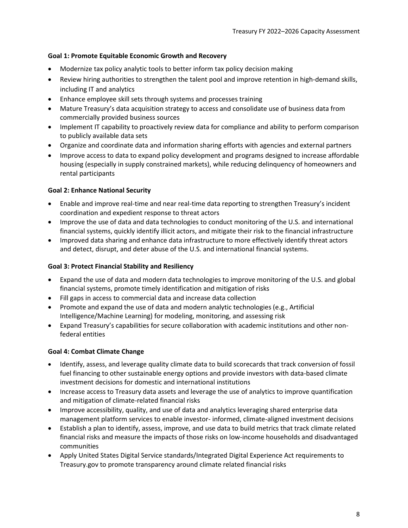#### **Goal 1: Promote Equitable Economic Growth and Recovery**

- Modernize tax policy analytic tools to better inform tax policy decision making
- Review hiring authorities to strengthen the talent pool and improve retention in high-demand skills, including IT and analytics
- Enhance employee skill sets through systems and processes training
- Mature Treasury's data acquisition strategy to access and consolidate use of business data from commercially provided business sources
- Implement IT capability to proactively review data for compliance and ability to perform comparison to publicly available data sets
- Organize and coordinate data and information sharing efforts with agencies and external partners
- Improve access to data to expand policy development and programs designed to increase affordable housing (especially in supply constrained markets), while reducing delinquency of homeowners and rental participants

#### **Goal 2: Enhance National Security**

- Enable and improve real-time and near real-time data reporting to strengthen Treasury's incident coordination and expedient response to threat actors
- Improve the use of data and data technologies to conduct monitoring of the U.S. and international financial systems, quickly identify illicit actors, and mitigate their risk to the financial infrastructure
- Improved data sharing and enhance data infrastructure to more effectively identify threat actors and detect, disrupt, and deter abuse of the U.S. and international financial systems.

#### **Goal 3: Protect Financial Stability and Resiliency**

- Expand the use of data and modern data technologies to improve monitoring of the U.S. and global financial systems, promote timely identification and mitigation of risks
- Fill gaps in access to commercial data and increase data collection
- Promote and expand the use of data and modern analytic technologies (e.g., Artificial Intelligence/Machine Learning) for modeling, monitoring, and assessing risk
- Expand Treasury's capabilities for secure collaboration with academic institutions and other nonfederal entities

#### **Goal 4: Combat Climate Change**

- Identify, assess, and leverage quality climate data to build scorecards that track conversion of fossil fuel financing to other sustainable energy options and provide investors with data-based climate investment decisions for domestic and international institutions
- Increase access to Treasury data assets and leverage the use of analytics to improve quantification and mitigation of climate-related financial risks
- Improve accessibility, quality, and use of data and analytics leveraging shared enterprise data management platform services to enable investor- informed, climate-aligned investment decisions
- Establish a plan to identify, assess, improve, and use data to build metrics that track climate related financial risks and measure the impacts of those risks on low-income households and disadvantaged communities
- Apply United States Digital Service standards/Integrated Digital Experience Act requirements to Treasury.gov to promote transparency around climate related financial risks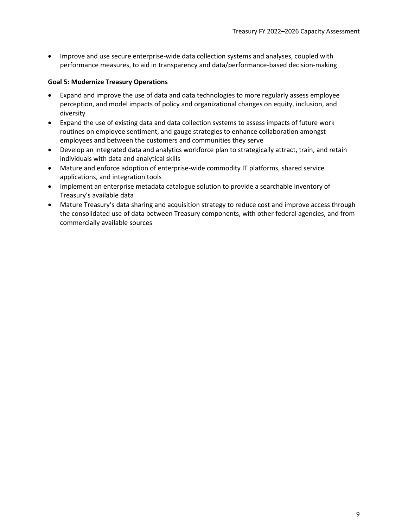• Improve and use secure enterprise-wide data collection systems and analyses, coupled with performance measures, to aid in transparency and data/performance-based decision-making

#### **Goal 5: Modernize Treasury Operations**

- Expand and improve the use of data and data technologies to more regularly assess employee perception, and model impacts of policy and organizational changes on equity, inclusion, and diversity
- Expand the use of existing data and data collection systems to assess impacts of future work routines on employee sentiment, and gauge strategies to enhance collaboration amongst employees and between the customers and communities they serve
- Develop an integrated data and analytics workforce plan to strategically attract, train, and retain individuals with data and analytical skills
- Mature and enforce adoption of enterprise-wide commodity IT platforms, shared service applications, and integration tools
- Implement an enterprise metadata catalogue solution to provide a searchable inventory of Treasury's available data
- Mature Treasury's data sharing and acquisition strategy to reduce cost and improve access through the consolidated use of data between Treasury components, with other federal agencies, and from commercially available sources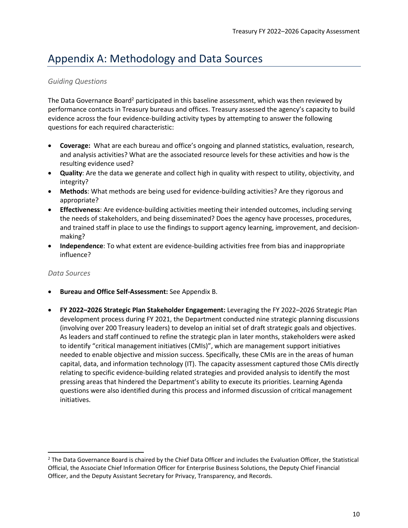### <span id="page-9-0"></span>Appendix A: Methodology and Data Sources

#### *Guiding Questions*

The Data Governance Board<sup>2</sup> participated in this baseline assessment, which was then reviewed by performance contacts in Treasury bureaus and offices. Treasury assessed the agency's capacity to build evidence across the four evidence-building activity types by attempting to answer the following questions for each required characteristic:

- **Coverage:** What are each bureau and office's ongoing and planned statistics, evaluation, research, and analysis activities? What are the associated resource levels for these activities and how is the resulting evidence used?
- **Quality**: Are the data we generate and collect high in quality with respect to utility, objectivity, and integrity?
- **Methods**: What methods are being used for evidence-building activities? Are they rigorous and appropriate?
- **Effectiveness**: Are evidence-building activities meeting their intended outcomes, including serving the needs of stakeholders, and being disseminated? Does the agency have processes, procedures, and trained staff in place to use the findings to support agency learning, improvement, and decisionmaking?
- **Independence**: To what extent are evidence-building activities free from bias and inappropriate influence?

#### *Data Sources*

- **Bureau and Office Self-Assessment:** See Appendix B.
- **FY 2022–2026 Strategic Plan Stakeholder Engagement:** Leveraging the FY 2022–2026 Strategic Plan development process during FY 2021, the Department conducted nine strategic planning discussions (involving over 200 Treasury leaders) to develop an initial set of draft strategic goals and objectives. As leaders and staff continued to refine the strategic plan in later months, stakeholders were asked to identify "critical management initiatives (CMIs)", which are management support initiatives needed to enable objective and mission success. Specifically, these CMIs are in the areas of human capital, data, and information technology (IT). The capacity assessment captured those CMIs directly relating to specific evidence-building related strategies and provided analysis to identify the most pressing areas that hindered the Department's ability to execute its priorities. Learning Agenda questions were also identified during this process and informed discussion of critical management initiatives.

<sup>&</sup>lt;sup>2</sup> The Data Governance Board is chaired by the Chief Data Officer and includes the Evaluation Officer, the Statistical Official, the Associate Chief Information Officer for Enterprise Business Solutions, the Deputy Chief Financial Officer, and the Deputy Assistant Secretary for Privacy, Transparency, and Records.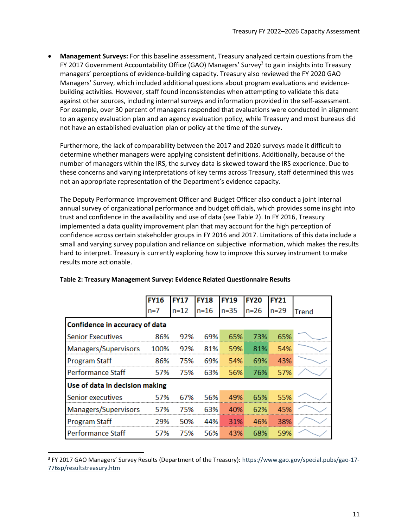• **Management Surveys:** For this baseline assessment, Treasury analyzed certain questions from the FY 2017 Government Accountability Office (GAO) Managers' Survey<sup>3</sup> to gain insights into Treasury managers' perceptions of evidence-building capacity. Treasury also reviewed the FY 2020 GAO Managers' Survey, which included additional questions about program evaluations and evidencebuilding activities. However, staff found inconsistencies when attempting to validate this data against other sources, including internal surveys and information provided in the self-assessment. For example, over 30 percent of managers responded that evaluations were conducted in alignment to an agency evaluation plan and an agency evaluation policy, while Treasury and most bureaus did not have an established evaluation plan or policy at the time of the survey.

Furthermore, the lack of comparability between the 2017 and 2020 surveys made it difficult to determine whether managers were applying consistent definitions. Additionally, because of the number of managers within the IRS, the survey data is skewed toward the IRS experience. Due to these concerns and varying interpretations of key terms across Treasury, staff determined this was not an appropriate representation of the Department's evidence capacity.

The Deputy Performance Improvement Officer and Budget Officer also conduct a joint internal annual survey of organizational performance and budget officials, which provides some insight into trust and confidence in the availability and use of data (see Table 2). In FY 2016, Treasury implemented a data quality improvement plan that may account for the high perception of confidence across certain stakeholder groups in FY 2016 and 2017. Limitations of this data include a small and varying survey population and reliance on subjective information, which makes the results hard to interpret. Treasury is currently exploring how to improve this survey instrument to make results more actionable.

|                                | <b>FY16</b> | FY17     | <b>FY18</b> | <b>FY19</b> | <b>FY20</b> | FY21   |       |
|--------------------------------|-------------|----------|-------------|-------------|-------------|--------|-------|
|                                | $n=7$       | $n = 12$ | $n = 16$    | $n=35$      | $n = 26$    | $n=29$ | Trend |
| Confidence in accuracy of data |             |          |             |             |             |        |       |
| <b>Senior Executives</b>       | 86%         | 92%      | 69%         | 65%         | 73%         | 65%    |       |
| Managers/Supervisors           | -- 100%     | 92%      | 81%         | 59%         | 81%         | 54%    |       |
| <b>Program Staff</b>           | 86%         | 75%      | 69%         | 54%         | 69%         | 43%    |       |
| <b>Performance Staff</b>       | 57%         | 75%      | 63%         | 56%         | 76%         | 57%    |       |
| Use of data in decision making |             |          |             |             |             |        |       |
| Senior executives              | 57%         | 67%      | 56%         | 49%         | 65%         | 55%    |       |
| Managers/Supervisors           | 57%         | 75%      | 63%         | 40%         | 62%         | 45%    |       |
| <b>Program Staff</b>           | 29%         | 50%      | 44%         | 31%         | 46%         | 38%    |       |
| Performance Staff              | 57%         | 75%      | 56%         | 43%         | 68%         | 59%    |       |

#### **Table 2: Treasury Management Survey: Evidence Related Questionnaire Results**

<sup>&</sup>lt;sup>3</sup> FY 2017 GAO Managers' Survey Results (Department of the Treasury): [https://www.gao.gov/special.pubs/gao-17-](https://www.gao.gov/special.pubs/gao-17-776sp/resultstreasury.htm) [776sp/resultstreasury.htm](https://www.gao.gov/special.pubs/gao-17-776sp/resultstreasury.htm)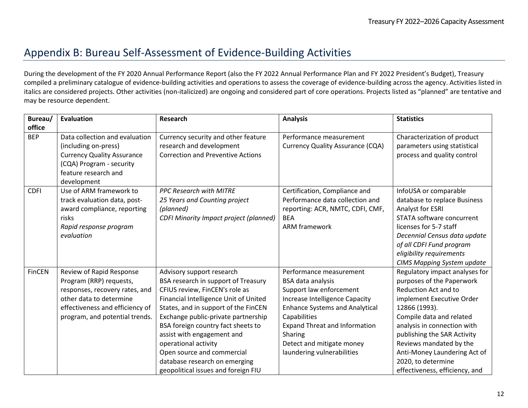### Appendix B: Bureau Self-Assessment of Evidence-Building Activities

During the development of the FY 2020 Annual Performance Report (also the FY 2022 Annual Performance Plan and FY 2022 President's Budget), Treasury compiled a preliminary catalogue of evidence-building activities and operations to assess the coverage of evidence-building across the agency. Activities listed in italics are considered projects. Other activities (non-italicized) are ongoing and considered part of core operations. Projects listed as "planned" are tentative and may be resource dependent.

<span id="page-11-0"></span>

| Bureau/       | <b>Evaluation</b>                                                                                                                                                                     | <b>Research</b>                                                                                                                                                                                                                                                                                                                                                                                                              | <b>Analysis</b>                                                                                                                                                                                                                                                                  | <b>Statistics</b>                                                                                                                                                                                                                                                                                                                              |
|---------------|---------------------------------------------------------------------------------------------------------------------------------------------------------------------------------------|------------------------------------------------------------------------------------------------------------------------------------------------------------------------------------------------------------------------------------------------------------------------------------------------------------------------------------------------------------------------------------------------------------------------------|----------------------------------------------------------------------------------------------------------------------------------------------------------------------------------------------------------------------------------------------------------------------------------|------------------------------------------------------------------------------------------------------------------------------------------------------------------------------------------------------------------------------------------------------------------------------------------------------------------------------------------------|
| office        |                                                                                                                                                                                       |                                                                                                                                                                                                                                                                                                                                                                                                                              |                                                                                                                                                                                                                                                                                  |                                                                                                                                                                                                                                                                                                                                                |
| <b>BEP</b>    | Data collection and evaluation<br>(including on-press)<br><b>Currency Quality Assurance</b><br>(CQA) Program - security<br>feature research and<br>development                        | Currency security and other feature<br>research and development<br><b>Correction and Preventive Actions</b>                                                                                                                                                                                                                                                                                                                  | Performance measurement<br><b>Currency Quality Assurance (CQA)</b>                                                                                                                                                                                                               | Characterization of product<br>parameters using statistical<br>process and quality control                                                                                                                                                                                                                                                     |
| <b>CDFI</b>   | Use of ARM framework to<br>track evaluation data, post-<br>award compliance, reporting<br>risks<br>Rapid response program<br>evaluation                                               | <b>PPC Research with MITRE</b><br>25 Years and Counting project<br>(planned)<br><b>CDFI Minority Impact project (planned)</b>                                                                                                                                                                                                                                                                                                | Certification, Compliance and<br>Performance data collection and<br>reporting: ACR, NMTC, CDFI, CMF,<br><b>BEA</b><br><b>ARM framework</b>                                                                                                                                       | InfoUSA or comparable<br>database to replace Business<br>Analyst for ESRI<br>STATA software concurrent<br>licenses for 5-7 staff<br>Decennial Census data update<br>of all CDFI Fund program<br>eligibility requirements<br><b>CIMS Mapping System update</b>                                                                                  |
| <b>FinCEN</b> | Review of Rapid Response<br>Program (RRP) requests,<br>responses, recovery rates, and<br>other data to determine<br>effectiveness and efficiency of<br>program, and potential trends. | Advisory support research<br>BSA research in support of Treasury<br>CFIUS review, FinCEN's role as<br>Financial Intelligence Unit of United<br>States, and in support of the FinCEN<br>Exchange public-private partnership<br>BSA foreign country fact sheets to<br>assist with engagement and<br>operational activity<br>Open source and commercial<br>database research on emerging<br>geopolitical issues and foreign FIU | Performance measurement<br>BSA data analysis<br>Support law enforcement<br>Increase Intelligence Capacity<br><b>Enhance Systems and Analytical</b><br>Capabilities<br><b>Expand Threat and Information</b><br>Sharing<br>Detect and mitigate money<br>laundering vulnerabilities | Regulatory impact analyses for<br>purposes of the Paperwork<br>Reduction Act and to<br>implement Executive Order<br>12866 (1993).<br>Compile data and related<br>analysis in connection with<br>publishing the SAR Activity<br>Reviews mandated by the<br>Anti-Money Laundering Act of<br>2020, to determine<br>effectiveness, efficiency, and |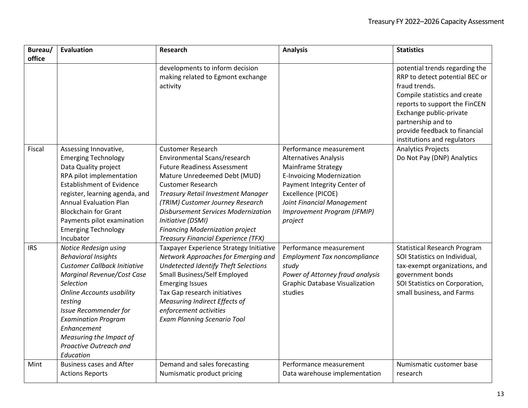| Bureau/    | Evaluation                                                                                                                                                                                                                                                                                                                          | <b>Research</b>                                                                                                                                                                                                                                                                                                                                                                                        | <b>Analysis</b>                                                                                                                                                                                                                                | <b>Statistics</b>                                                                                                                                                                                                                                                    |
|------------|-------------------------------------------------------------------------------------------------------------------------------------------------------------------------------------------------------------------------------------------------------------------------------------------------------------------------------------|--------------------------------------------------------------------------------------------------------------------------------------------------------------------------------------------------------------------------------------------------------------------------------------------------------------------------------------------------------------------------------------------------------|------------------------------------------------------------------------------------------------------------------------------------------------------------------------------------------------------------------------------------------------|----------------------------------------------------------------------------------------------------------------------------------------------------------------------------------------------------------------------------------------------------------------------|
| office     |                                                                                                                                                                                                                                                                                                                                     | developments to inform decision<br>making related to Egmont exchange<br>activity                                                                                                                                                                                                                                                                                                                       |                                                                                                                                                                                                                                                | potential trends regarding the<br>RRP to detect potential BEC or<br>fraud trends.<br>Compile statistics and create<br>reports to support the FinCEN<br>Exchange public-private<br>partnership and to<br>provide feedback to financial<br>institutions and regulators |
| Fiscal     | Assessing Innovative,<br><b>Emerging Technology</b><br>Data Quality project<br>RPA pilot implementation<br><b>Establishment of Evidence</b><br>register, learning agenda, and<br><b>Annual Evaluation Plan</b><br><b>Blockchain for Grant</b><br>Payments pilot examination<br><b>Emerging Technology</b><br>Incubator              | <b>Customer Research</b><br>Environmental Scans/research<br><b>Future Readiness Assessment</b><br>Mature Unredeemed Debt (MUD)<br><b>Customer Research</b><br><b>Treasury Retail Investment Manager</b><br>(TRIM) Customer Journey Research<br><b>Disbursement Services Modernization</b><br>Initiative (DSMI)<br><b>Financing Modernization project</b><br><b>Treasury Financial Experience (TFX)</b> | Performance measurement<br><b>Alternatives Analysis</b><br>Mainframe Strategy<br><b>E-Invoicing Modernization</b><br>Payment Integrity Center of<br>Excellence (PICOE)<br>Joint Financial Management<br>Improvement Program (JFMIP)<br>project | <b>Analytics Projects</b><br>Do Not Pay (DNP) Analytics                                                                                                                                                                                                              |
| <b>IRS</b> | Notice Redesign using<br><b>Behavioral Insights</b><br><b>Customer Callback Initiative</b><br>Marginal Revenue/Cost Case<br>Selection<br><b>Online Accounts usability</b><br>testing<br><b>Issue Recommender for</b><br><b>Examination Program</b><br>Enhancement<br>Measuring the Impact of<br>Proactive Outreach and<br>Education | Taxpayer Experience Strategy Initiative<br>Network Approaches for Emerging and<br>Undetected Identify Theft Selections<br>Small Business/Self Employed<br><b>Emerging Issues</b><br>Tax Gap research initiatives<br><b>Measuring Indirect Effects of</b><br>enforcement activities<br><b>Exam Planning Scenario Tool</b>                                                                               | Performance measurement<br><b>Employment Tax noncompliance</b><br>study<br>Power of Attorney fraud analysis<br><b>Graphic Database Visualization</b><br>studies                                                                                | <b>Statistical Research Program</b><br>SOI Statistics on Individual,<br>tax-exempt organizations, and<br>government bonds<br>SOI Statistics on Corporation,<br>small business, and Farms                                                                             |
| Mint       | <b>Business cases and After</b><br><b>Actions Reports</b>                                                                                                                                                                                                                                                                           | Demand and sales forecasting<br>Numismatic product pricing                                                                                                                                                                                                                                                                                                                                             | Performance measurement<br>Data warehouse implementation                                                                                                                                                                                       | Numismatic customer base<br>research                                                                                                                                                                                                                                 |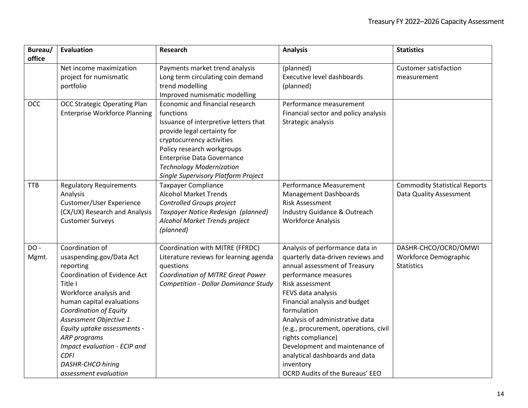| Bureau/    | <b>Evaluation</b>                    | Research                                    | <b>Analysis</b>                        | <b>Statistics</b>                    |
|------------|--------------------------------------|---------------------------------------------|----------------------------------------|--------------------------------------|
| office     |                                      |                                             |                                        |                                      |
|            | Net income maximization              | Payments market trend analysis              | (planned)                              | <b>Customer satisfaction</b>         |
|            | project for numismatic               | Long term circulating coin demand           | Executive level dashboards             | measurement                          |
|            | portfolio                            | trend modelling                             | (planned)                              |                                      |
|            |                                      | Improved numismatic modelling               |                                        |                                      |
| <b>OCC</b> | <b>OCC Strategic Operating Plan</b>  | Economic and financial research             | Performance measurement                |                                      |
|            | <b>Enterprise Workforce Planning</b> | functions                                   | Financial sector and policy analysis   |                                      |
|            |                                      | Issuance of interpretive letters that       | Strategic analysis                     |                                      |
|            |                                      | provide legal certainty for                 |                                        |                                      |
|            |                                      | cryptocurrency activities                   |                                        |                                      |
|            |                                      | Policy research workgroups                  |                                        |                                      |
|            |                                      | <b>Enterprise Data Governance</b>           |                                        |                                      |
|            |                                      | <b>Technology Modernization</b>             |                                        |                                      |
|            |                                      | Single Supervisory Platform Project         |                                        |                                      |
| <b>TTB</b> | <b>Regulatory Requirements</b>       | <b>Taxpayer Compliance</b>                  | Performance Measurement                | <b>Commodity Statistical Reports</b> |
|            | Analysis                             | <b>Alcohol Market Trends</b>                | <b>Management Dashboards</b>           | Data Quality Assessment              |
|            | Customer/User Experience             | Controlled Groups project                   | <b>Risk Assessment</b>                 |                                      |
|            | (CX/UX) Research and Analysis        | Taxpayer Notice Redesign (planned)          | Industry Guidance & Outreach           |                                      |
|            | <b>Customer Surveys</b>              | Alcohol Market Trends project               | <b>Workforce Analysis</b>              |                                      |
|            |                                      | (planned)                                   |                                        |                                      |
| DO-        | Coordination of                      | Coordination with MITRE (FFRDC)             | Analysis of performance data in        | DASHR-CHCO/OCRD/OMWI                 |
| Mgmt.      | usaspending.gov/Data Act             | Literature reviews for learning agenda      | quarterly data-driven reviews and      | Workforce Demographic                |
|            | reporting                            | questions                                   | annual assessment of Treasury          | <b>Statistics</b>                    |
|            | <b>Coordination of Evidence Act</b>  | Coordination of MITRE Great Power           | performance measures                   |                                      |
|            | Title I                              | <b>Competition - Dollar Dominance Study</b> | Risk assessment                        |                                      |
|            | Workforce analysis and               |                                             | FEVS data analysis                     |                                      |
|            | human capital evaluations            |                                             | Financial analysis and budget          |                                      |
|            | <b>Coordination of Equity</b>        |                                             | formulation                            |                                      |
|            | Assessment Objective 1               |                                             | Analysis of administrative data        |                                      |
|            | Equity uptake assessments -          |                                             | (e.g., procurement, operations, civil  |                                      |
|            | ARP programs                         |                                             | rights compliance)                     |                                      |
|            | Impact evaluation - ECIP and         |                                             | Development and maintenance of         |                                      |
|            | <b>CDFI</b>                          |                                             | analytical dashboards and data         |                                      |
|            | <b>DASHR-CHCO hiring</b>             |                                             | inventory                              |                                      |
|            | assessment evaluation                |                                             | <b>OCRD Audits of the Bureaus' EEO</b> |                                      |